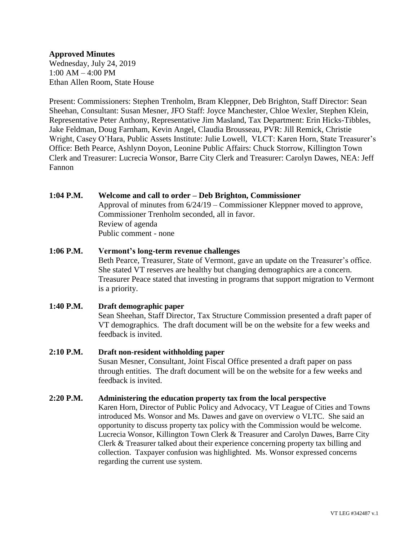## **Approved Minutes**

Wednesday, July 24, 2019 1:00 AM – 4:00 PM Ethan Allen Room, State House

Present: Commissioners: Stephen Trenholm, Bram Kleppner, Deb Brighton, Staff Director: Sean Sheehan, Consultant: Susan Mesner, JFO Staff: Joyce Manchester, Chloe Wexler, Stephen Klein, Representative Peter Anthony, Representative Jim Masland, Tax Department: Erin Hicks-Tibbles, Jake Feldman, Doug Farnham, Kevin Angel, Claudia Brousseau, PVR: Jill Remick, Christie Wright, Casey O'Hara, Public Assets Institute: Julie Lowell, VLCT: Karen Horn, State Treasurer's Office: Beth Pearce, Ashlynn Doyon, Leonine Public Affairs: Chuck Storrow, Killington Town Clerk and Treasurer: Lucrecia Wonsor, Barre City Clerk and Treasurer: Carolyn Dawes, NEA: Jeff Fannon

#### **1:04 P.M. Welcome and call to order – Deb Brighton, Commissioner**

Approval of minutes from 6/24/19 – Commissioner Kleppner moved to approve, Commissioner Trenholm seconded, all in favor. Review of agenda Public comment - none

# **1:06 P.M. Vermont's long-term revenue challenges** Beth Pearce, Treasurer, State of Vermont, gave an update on the Treasurer's office. She stated VT reserves are healthy but changing demographics are a concern. Treasurer Peace stated that investing in programs that support migration to Vermont is a priority.

**1:40 P.M. Draft demographic paper** Sean Sheehan, Staff Director, Tax Structure Commission presented a draft paper of VT demographics. The draft document will be on the website for a few weeks and feedback is invited. **2:10 P.M. Draft non-resident withholding paper**

# Susan Mesner, Consultant, Joint Fiscal Office presented a draft paper on pass through entities. The draft document will be on the website for a few weeks and feedback is invited.

## **2:20 P.M. Administering the education property tax from the local perspective**

Karen Horn, Director of Public Policy and Advocacy, VT League of Cities and Towns introduced Ms. Wonsor and Ms. Dawes and gave on overview o VLTC. She said an opportunity to discuss property tax policy with the Commission would be welcome. Lucrecia Wonsor, Killington Town Clerk & Treasurer and Carolyn Dawes, Barre City Clerk & Treasurer talked about their experience concerning property tax billing and collection. Taxpayer confusion was highlighted. Ms. Wonsor expressed concerns regarding the current use system.